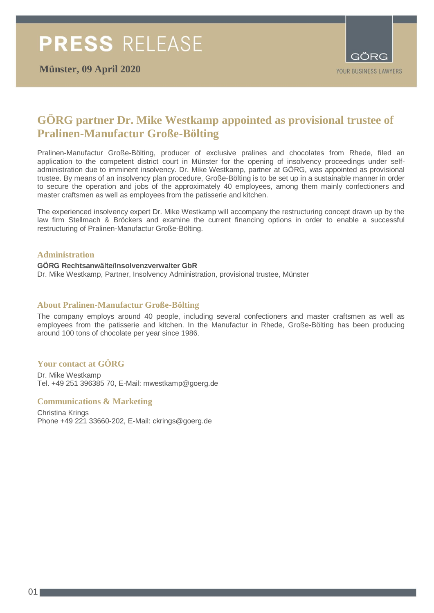

# **GÖRG partner Dr. Mike Westkamp appointed as provisional trustee of Pralinen-Manufactur Große-Bölting**

Pralinen-Manufactur Große-Bölting, producer of exclusive pralines and chocolates from Rhede, filed an application to the competent district court in Münster for the opening of insolvency proceedings under selfadministration due to imminent insolvency. Dr. Mike Westkamp, partner at GÖRG, was appointed as provisional trustee. By means of an insolvency plan procedure, Große-Bölting is to be set up in a sustainable manner in order to secure the operation and jobs of the approximately 40 employees, among them mainly confectioners and master craftsmen as well as employees from the patisserie and kitchen.

The experienced insolvency expert Dr. Mike Westkamp will accompany the restructuring concept drawn up by the law firm Stellmach & Bröckers and examine the current financing options in order to enable a successful restructuring of Pralinen-Manufactur Große-Bölting.

# **Administration**

## **GÖRG Rechtsanwälte/Insolvenzverwalter GbR**

Dr. Mike Westkamp, Partner, Insolvency Administration, provisional trustee, Münster

## **About Pralinen-Manufactur Große-Bölting**

The company employs around 40 people, including several confectioners and master craftsmen as well as employees from the patisserie and kitchen. In the Manufactur in Rhede, Große-Bölting has been producing around 100 tons of chocolate per year since 1986.

# **Your contact at GÖRG**

Dr. Mike Westkamp Tel. +49 251 396385 70, E-Mail: [mwestkamp@goerg.de](mailto:mwestkamp@goerg.de)

## **Communications & Marketing**

Christina Krings Phone +49 221 33660-202, E-Mail: ckrings@goerg.de